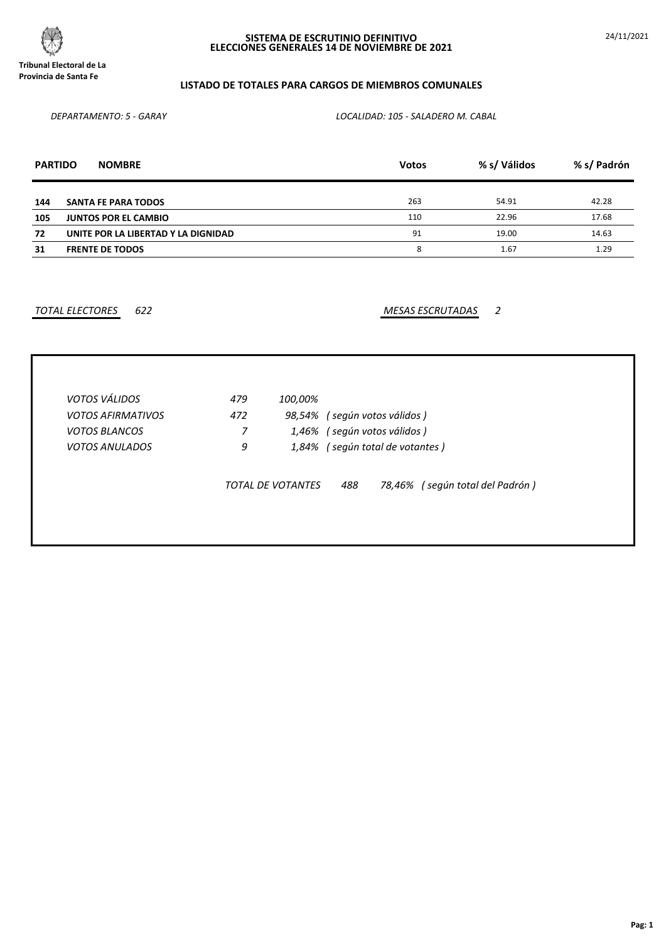

24/11/2021

# **LISTADO DE TOTALES PARA CARGOS DE MIEMBROS COMUNALES**

*DEPARTAMENTO: 5 - GARAY LOCALIDAD: 105 - SALADERO M. CABAL*

| <b>PARTIDO</b> | <b>NOMBRE</b>                       | <b>Votos</b> | % s/ Válidos | % s/ Padrón |
|----------------|-------------------------------------|--------------|--------------|-------------|
| 144            | <b>SANTA FE PARA TODOS</b>          | 263          | 54.91        | 42.28       |
| 105            | <b>JUNTOS POR EL CAMBIO</b>         | 110          | 22.96        | 17.68       |
| 72             | UNITE POR LA LIBERTAD Y LA DIGNIDAD | 91           | 19.00        | 14.63       |
| 31             | <b>FRENTE DE TODOS</b>              | 8            | 1.67         | 1.29        |

*TOTAL ELECTORES 622 MESAS ESCRUTADAS 2*

| VOTOS VÁLIDOS            | 479 | 100,00%                  |                                           |  |
|--------------------------|-----|--------------------------|-------------------------------------------|--|
| <b>VOTOS AFIRMATIVOS</b> | 472 | 98,54%                   | (según votos válidos)                     |  |
| <b>VOTOS BLANCOS</b>     | 7   | 1,46%                    | (según votos válidos)                     |  |
| <i>VOTOS ANULADOS</i>    | 9   | 1,84%                    | (según total de votantes)                 |  |
|                          |     | <b>TOTAL DE VOTANTES</b> | (según total del Padrón)<br>488<br>78,46% |  |
|                          |     |                          |                                           |  |
|                          |     |                          |                                           |  |
|                          |     |                          |                                           |  |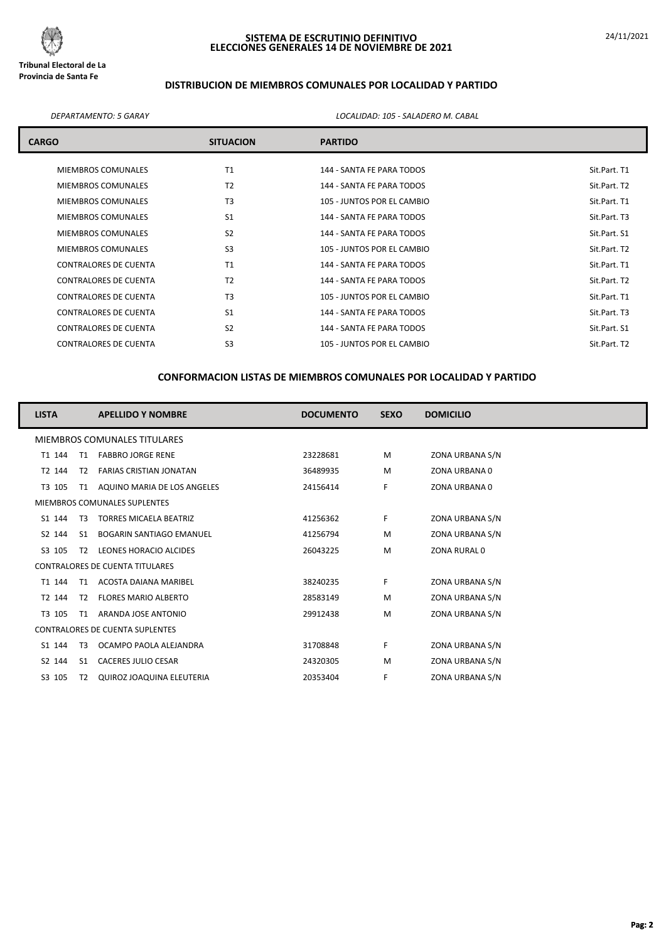

# **DISTRIBUCION DE MIEMBROS COMUNALES POR LOCALIDAD Y PARTIDO**

*DEPARTAMENTO: 5 GARAY LOCALIDAD: 105 - SALADERO M. CABAL*

| <b>CARGO</b>                 | <b>SITUACION</b> | <b>PARTIDO</b>             |              |  |  |  |
|------------------------------|------------------|----------------------------|--------------|--|--|--|
| <b>MIEMBROS COMUNALES</b>    | T1               | 144 - SANTA FE PARA TODOS  | Sit.Part. T1 |  |  |  |
| MIEMBROS COMUNALES           | T <sub>2</sub>   | 144 - SANTA FE PARA TODOS  | Sit.Part. T2 |  |  |  |
| MIEMBROS COMUNALES           | T <sub>3</sub>   | 105 - JUNTOS POR EL CAMBIO | Sit.Part. T1 |  |  |  |
| <b>MIEMBROS COMUNALES</b>    | S <sub>1</sub>   | 144 - SANTA FE PARA TODOS  | Sit.Part. T3 |  |  |  |
| <b>MIEMBROS COMUNALES</b>    | S <sub>2</sub>   | 144 - SANTA FE PARA TODOS  | Sit.Part. S1 |  |  |  |
| <b>MIEMBROS COMUNALES</b>    | S <sub>3</sub>   | 105 - JUNTOS POR EL CAMBIO | Sit.Part. T2 |  |  |  |
| CONTRALORES DE CUENTA        | T1               | 144 - SANTA FE PARA TODOS  | Sit.Part. T1 |  |  |  |
| CONTRALORES DE CUENTA        | T <sub>2</sub>   | 144 - SANTA FE PARA TODOS  | Sit.Part. T2 |  |  |  |
| <b>CONTRALORES DE CUENTA</b> | T <sub>3</sub>   | 105 - JUNTOS POR EL CAMBIO | Sit.Part. T1 |  |  |  |
| <b>CONTRALORES DE CUENTA</b> | S <sub>1</sub>   | 144 - SANTA FE PARA TODOS  | Sit.Part. T3 |  |  |  |
| <b>CONTRALORES DE CUENTA</b> | S <sub>2</sub>   | 144 - SANTA FE PARA TODOS  | Sit.Part. S1 |  |  |  |
| CONTRALORES DE CUENTA        | S <sub>3</sub>   | 105 - JUNTOS POR EL CAMBIO | Sit.Part. T2 |  |  |  |

| <b>LISTA</b>                 |                | <b>APELLIDO Y NOMBRE</b>               | <b>DOCUMENTO</b> | <b>SEXO</b> | <b>DOMICILIO</b> |
|------------------------------|----------------|----------------------------------------|------------------|-------------|------------------|
| MIEMBROS COMUNALES TITULARES |                |                                        |                  |             |                  |
| T1 144                       | T1             | <b>FABBRO JORGE RENE</b>               | 23228681         | M           | ZONA URBANA S/N  |
| T2 144                       | T2             | <b>FARIAS CRISTIAN JONATAN</b>         | 36489935         | M           | ZONA URBANA 0    |
| T3 105                       | T1             | AQUINO MARIA DE LOS ANGELES            | 24156414         | F           | ZONA URBANA 0    |
|                              |                | MIEMBROS COMUNALES SUPLENTES           |                  |             |                  |
| S1 144                       | T3             | <b>TORRES MICAELA BEATRIZ</b>          | 41256362         | F.          | ZONA URBANA S/N  |
| S2 144                       | S1             | <b>BOGARIN SANTIAGO EMANUEL</b>        | 41256794         | M           | ZONA URBANA S/N  |
| S3 105                       | T2             | LEONES HORACIO ALCIDES                 | 26043225         | M           | ZONA RURAL 0     |
|                              |                | <b>CONTRALORES DE CUENTA TITULARES</b> |                  |             |                  |
| T1 144                       | T1             | ACOSTA DAIANA MARIBEL                  | 38240235         | F.          | ZONA URBANA S/N  |
| T2 144                       | T2             | <b>FLORES MARIO ALBERTO</b>            | 28583149         | M           | ZONA URBANA S/N  |
| T3 105                       | T1             | ARANDA JOSE ANTONIO                    | 29912438         | M           | ZONA URBANA S/N  |
|                              |                | <b>CONTRALORES DE CUENTA SUPLENTES</b> |                  |             |                  |
| S1 144                       | T <sub>3</sub> | OCAMPO PAOLA ALEJANDRA                 | 31708848         | F.          | ZONA URBANA S/N  |
| S2 144                       | S <sub>1</sub> | <b>CACERES JULIO CESAR</b>             | 24320305         | M           | ZONA URBANA S/N  |
| S3 105                       | T2             | QUIROZ JOAQUINA ELEUTERIA              | 20353404         | F           | ZONA URBANA S/N  |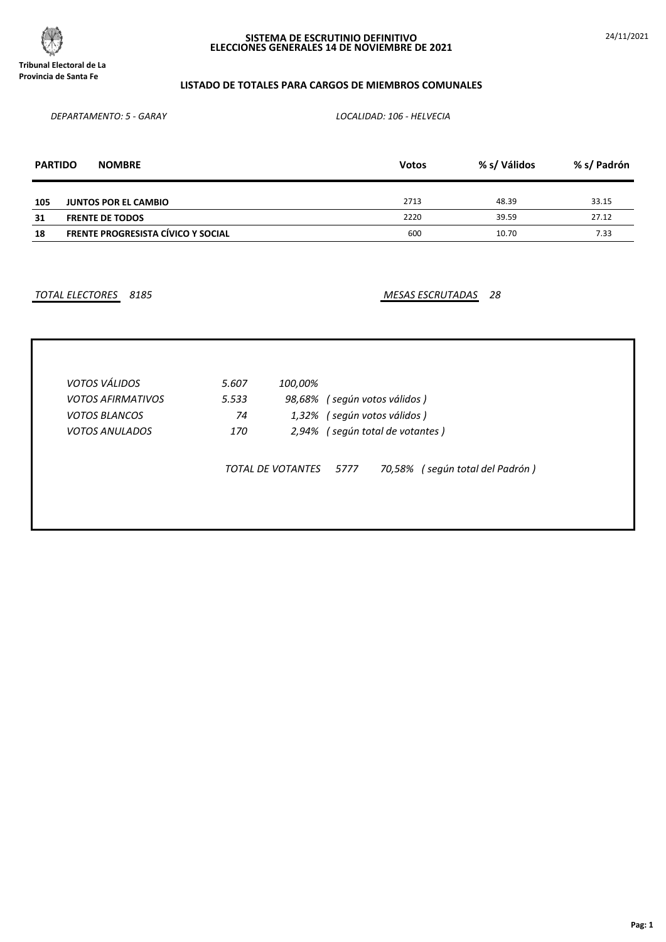

24/11/2021

# **LISTADO DE TOTALES PARA CARGOS DE MIEMBROS COMUNALES**

*DEPARTAMENTO: 5 - GARAY LOCALIDAD: 106 - HELVECIA*

| <b>PARTIDO</b> | <b>NOMBRE</b>                             | <b>Votos</b> | % s/ Válidos | % s/ Padrón |
|----------------|-------------------------------------------|--------------|--------------|-------------|
| 105            | <b>JUNTOS POR EL CAMBIO</b>               | 2713         | 48.39        | 33.15       |
| 31             | <b>FRENTE DE TODOS</b>                    | 2220         | 39.59        | 27.12       |
| 18             | <b>FRENTE PROGRESISTA CÍVICO Y SOCIAL</b> | 600          | 10.70        | 7.33        |

*TOTAL ELECTORES 8185 MESAS ESCRUTADAS 28*

| VOTOS VÁLIDOS            | 5.607 | 100,00%           |                                         |
|--------------------------|-------|-------------------|-----------------------------------------|
| <b>VOTOS AFIRMATIVOS</b> | 5.533 |                   | 98,68% (según votos válidos)            |
| <b>VOTOS BLANCOS</b>     | 74    |                   | 1,32% (según votos válidos)             |
| <b>VOTOS ANULADOS</b>    | 170   |                   | 2,94% (según total de votantes)         |
|                          |       | TOTAL DE VOTANTES | 70,58% (según total del Padrón)<br>5777 |
|                          |       |                   |                                         |
|                          |       |                   |                                         |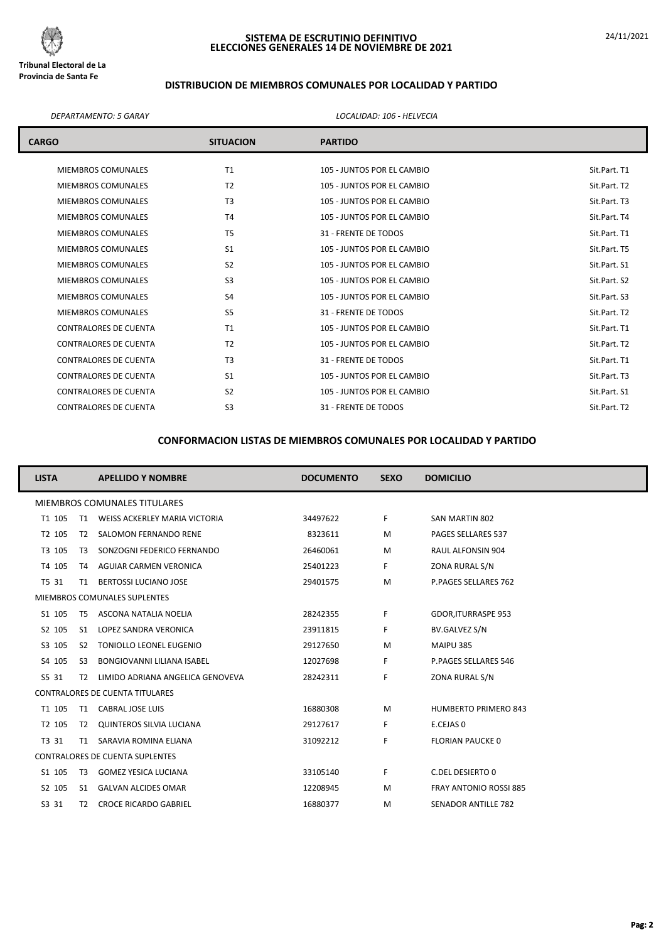

# **DISTRIBUCION DE MIEMBROS COMUNALES POR LOCALIDAD Y PARTIDO**

#### *DEPARTAMENTO: 5 GARAY LOCALIDAD: 106 - HELVECIA*

| <b>CARGO</b>                 | <b>SITUACION</b> | <b>PARTIDO</b>             |              |
|------------------------------|------------------|----------------------------|--------------|
| <b>MIEMBROS COMUNALES</b>    | T1               | 105 - JUNTOS POR EL CAMBIO | Sit.Part. T1 |
| <b>MIEMBROS COMUNALES</b>    | T <sub>2</sub>   | 105 - JUNTOS POR EL CAMBIO | Sit.Part. T2 |
| <b>MIEMBROS COMUNALES</b>    | T <sub>3</sub>   | 105 - JUNTOS POR EL CAMBIO | Sit.Part. T3 |
| <b>MIEMBROS COMUNALES</b>    | T <sub>4</sub>   | 105 - JUNTOS POR EL CAMBIO | Sit.Part. T4 |
| <b>MIEMBROS COMUNALES</b>    | T <sub>5</sub>   | 31 - FRENTE DE TODOS       | Sit.Part. T1 |
| <b>MIEMBROS COMUNALES</b>    | S <sub>1</sub>   | 105 - JUNTOS POR EL CAMBIO | Sit.Part. T5 |
| <b>MIEMBROS COMUNALES</b>    | S <sub>2</sub>   | 105 - JUNTOS POR EL CAMBIO | Sit.Part. S1 |
| <b>MIEMBROS COMUNALES</b>    | S <sub>3</sub>   | 105 - JUNTOS POR EL CAMBIO | Sit.Part. S2 |
| <b>MIEMBROS COMUNALES</b>    | S <sub>4</sub>   | 105 - JUNTOS POR EL CAMBIO | Sit.Part. S3 |
| <b>MIEMBROS COMUNALES</b>    | S <sub>5</sub>   | 31 - FRENTE DE TODOS       | Sit.Part. T2 |
| <b>CONTRALORES DE CUENTA</b> | T1               | 105 - JUNTOS POR EL CAMBIO | Sit.Part. T1 |
| <b>CONTRALORES DE CUENTA</b> | T <sub>2</sub>   | 105 - JUNTOS POR EL CAMBIO | Sit.Part. T2 |
| <b>CONTRALORES DE CUENTA</b> | T <sub>3</sub>   | 31 - FRENTE DE TODOS       | Sit.Part. T1 |
| <b>CONTRALORES DE CUENTA</b> | S <sub>1</sub>   | 105 - JUNTOS POR EL CAMBIO | Sit.Part. T3 |
| <b>CONTRALORES DE CUENTA</b> | S <sub>2</sub>   | 105 - JUNTOS POR EL CAMBIO | Sit.Part. S1 |
| <b>CONTRALORES DE CUENTA</b> | S <sub>3</sub>   | 31 - FRENTE DE TODOS       | Sit.Part. T2 |

| <b>LISTA</b> |                | <b>APELLIDO Y NOMBRE</b>               | <b>DOCUMENTO</b> | <b>SEXO</b> | <b>DOMICILIO</b>              |
|--------------|----------------|----------------------------------------|------------------|-------------|-------------------------------|
|              |                | MIEMBROS COMUNALES TITULARES           |                  |             |                               |
| T1 105       |                | T1 WEISS ACKERLEY MARIA VICTORIA       | 34497622         | F.          | SAN MARTIN 802                |
| T2 105       | T2             | SALOMON FERNANDO RENE                  | 8323611          | M           | <b>PAGES SELLARES 537</b>     |
| T3 105       | T3             | SONZOGNI FEDERICO FERNANDO             | 26460061         | M           | <b>RAUL ALFONSIN 904</b>      |
| T4 105       | T4             | AGUIAR CARMEN VERONICA                 | 25401223         | F.          | ZONA RURAL S/N                |
| T5 31        | T1             | <b>BERTOSSI LUCIANO JOSE</b>           | 29401575         | M           | P.PAGES SELLARES 762          |
|              |                | MIEMBROS COMUNALES SUPLENTES           |                  |             |                               |
| S1 105       | T <sub>5</sub> | ASCONA NATALIA NOELIA                  | 28242355         | F.          | <b>GDOR, ITURRASPE 953</b>    |
| S2 105       | S <sub>1</sub> | LOPEZ SANDRA VERONICA                  | 23911815         | F.          | BV.GALVEZ S/N                 |
| S3 105       | S <sub>2</sub> | TONIOLLO LEONEL EUGENIO                | 29127650         | M           | MAIPU 385                     |
| S4 105       | S3             | <b>BONGIOVANNI LILIANA ISABEL</b>      | 12027698         | F.          | P.PAGES SELLARES 546          |
| S5 31        | T2             | LIMIDO ADRIANA ANGELICA GENOVEVA       | 28242311         | F.          | ZONA RURAL S/N                |
|              |                | <b>CONTRALORES DE CUENTA TITULARES</b> |                  |             |                               |
| T1 105       |                | T1 CABRAL JOSE LUIS                    | 16880308         | M           | <b>HUMBERTO PRIMERO 843</b>   |
| T2 105       | T2             | QUINTEROS SILVIA LUCIANA               | 29127617         | F.          | E.CEJAS 0                     |
| T3 31        |                | T1 SARAVIA ROMINA ELIANA               | 31092212         | F.          | <b>FLORIAN PAUCKE 0</b>       |
|              |                | <b>CONTRALORES DE CUENTA SUPLENTES</b> |                  |             |                               |
| S1 105       | T3             | <b>GOMEZ YESICA LUCIANA</b>            | 33105140         | F.          | C.DEL DESIERTO 0              |
| S2 105       | S <sub>1</sub> | <b>GALVAN ALCIDES OMAR</b>             | 12208945         | M           | <b>FRAY ANTONIO ROSSI 885</b> |
| S3 31        | T2             | <b>CROCE RICARDO GABRIEL</b>           | 16880377         | M           | <b>SENADOR ANTILLE 782</b>    |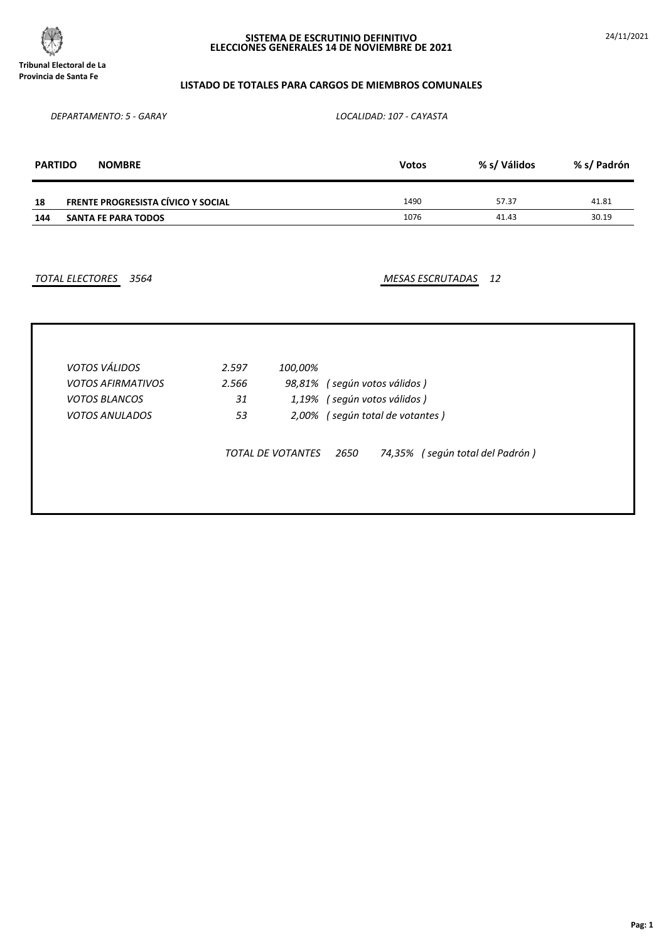

24/11/2021

## **LISTADO DE TOTALES PARA CARGOS DE MIEMBROS COMUNALES**

*DEPARTAMENTO: 5 - GARAY LOCALIDAD: 107 - CAYASTA*

| <b>PARTIDO</b> | <b>NOMBRE</b>                             | <b>Votos</b> | % s/ Válidos | % s/ Padrón |
|----------------|-------------------------------------------|--------------|--------------|-------------|
| 18             | <b>FRENTE PROGRESISTA CÍVICO Y SOCIAL</b> | 1490         | 57.37        | 41.81       |
| 144            | SANTA FE PARA TODOS                       | 1076         | 41.43        | 30.19       |

*TOTAL ELECTORES 3564 MESAS ESCRUTADAS 12*

| <b>VOTOS AFIRMATIVOS</b> | 2.566 |                          | 98,81% (según votos válidos)            |  |
|--------------------------|-------|--------------------------|-----------------------------------------|--|
| <b>VOTOS BLANCOS</b>     | 31    |                          | 1,19% (según votos válidos)             |  |
| <b>VOTOS ANULADOS</b>    | 53    |                          | 2,00% (según total de votantes)         |  |
|                          |       | <b>TOTAL DE VOTANTES</b> | 74,35% (según total del Padrón)<br>2650 |  |
|                          |       |                          |                                         |  |
|                          |       |                          |                                         |  |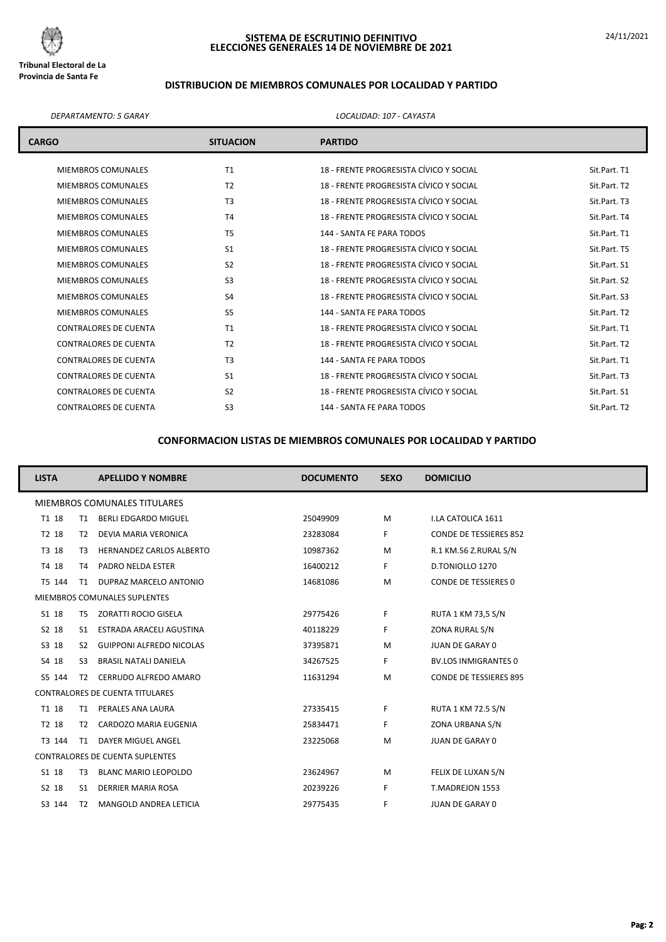

# **DISTRIBUCION DE MIEMBROS COMUNALES POR LOCALIDAD Y PARTIDO**

#### *DEPARTAMENTO: 5 GARAY LOCALIDAD: 107 - CAYASTA*

| <b>CARGO</b>                 | <b>SITUACION</b> | <b>PARTIDO</b>                          |              |
|------------------------------|------------------|-----------------------------------------|--------------|
| <b>MIEMBROS COMUNALES</b>    | T1               | 18 - FRENTE PROGRESISTA CÍVICO Y SOCIAL | Sit.Part. T1 |
| <b>MIEMBROS COMUNALES</b>    | T <sub>2</sub>   | 18 - FRENTE PROGRESISTA CÍVICO Y SOCIAL | Sit.Part. T2 |
| <b>MIEMBROS COMUNALES</b>    | T <sub>3</sub>   | 18 - FRENTE PROGRESISTA CÍVICO Y SOCIAL | Sit.Part. T3 |
| <b>MIEMBROS COMUNALES</b>    | T <sub>4</sub>   | 18 - FRENTE PROGRESISTA CÍVICO Y SOCIAL | Sit.Part. T4 |
| <b>MIEMBROS COMUNALES</b>    | T <sub>5</sub>   | 144 - SANTA FE PARA TODOS               | Sit.Part. T1 |
| <b>MIEMBROS COMUNALES</b>    | S <sub>1</sub>   | 18 - FRENTE PROGRESISTA CÍVICO Y SOCIAL | Sit.Part. T5 |
| <b>MIEMBROS COMUNALES</b>    | S <sub>2</sub>   | 18 - FRENTE PROGRESISTA CÍVICO Y SOCIAL | Sit.Part. S1 |
| <b>MIEMBROS COMUNALES</b>    | S <sub>3</sub>   | 18 - FRENTE PROGRESISTA CÍVICO Y SOCIAL | Sit.Part. S2 |
| <b>MIEMBROS COMUNALES</b>    | S <sub>4</sub>   | 18 - FRENTE PROGRESISTA CÍVICO Y SOCIAL | Sit.Part. S3 |
| <b>MIEMBROS COMUNALES</b>    | S <sub>5</sub>   | 144 - SANTA FE PARA TODOS               | Sit.Part. T2 |
| <b>CONTRALORES DE CUENTA</b> | T <sub>1</sub>   | 18 - FRENTE PROGRESISTA CÍVICO Y SOCIAL | Sit.Part. T1 |
| <b>CONTRALORES DE CUENTA</b> | T <sub>2</sub>   | 18 - FRENTE PROGRESISTA CÍVICO Y SOCIAL | Sit.Part. T2 |
| <b>CONTRALORES DE CUENTA</b> | T <sub>3</sub>   | 144 - SANTA FE PARA TODOS               | Sit.Part. T1 |
| <b>CONTRALORES DE CUENTA</b> | S <sub>1</sub>   | 18 - FRENTE PROGRESISTA CÍVICO Y SOCIAL | Sit.Part. T3 |
| <b>CONTRALORES DE CUENTA</b> | S <sub>2</sub>   | 18 - FRENTE PROGRESISTA CÍVICO Y SOCIAL | Sit.Part. S1 |
| <b>CONTRALORES DE CUENTA</b> | S <sub>3</sub>   | 144 - SANTA FE PARA TODOS               | Sit.Part. T2 |

| <b>LISTA</b>                 |                | <b>APELLIDO Y NOMBRE</b>               | <b>DOCUMENTO</b> | <b>SEXO</b> | <b>DOMICILIO</b>              |  |
|------------------------------|----------------|----------------------------------------|------------------|-------------|-------------------------------|--|
| MIEMBROS COMUNALES TITULARES |                |                                        |                  |             |                               |  |
| T1 18                        | T1             | <b>BERLI EDGARDO MIGUEL</b>            | 25049909         | M           | I.LA CATOLICA 1611            |  |
| T2 18                        | T2             | DEVIA MARIA VERONICA                   | 23283084         | F.          | <b>CONDE DE TESSIERES 852</b> |  |
| T3 18                        | T3             | <b>HERNANDEZ CARLOS ALBERTO</b>        | 10987362         | M           | R.1 KM.56 Z.RURAL S/N         |  |
| T4 18                        | T4             | PADRO NELDA ESTER                      | 16400212         | F.          | D.TONIOLLO 1270               |  |
| T5 144                       | T1             | DUPRAZ MARCELO ANTONIO                 | 14681086         | M           | <b>CONDE DE TESSIERES 0</b>   |  |
|                              |                | MIEMBROS COMUNALES SUPLENTES           |                  |             |                               |  |
| S1 18                        | T <sub>5</sub> | ZORATTI ROCIO GISELA                   | 29775426         | F           | <b>RUTA 1 KM 73,5 S/N</b>     |  |
| S2 18                        | S1             | ESTRADA ARACELI AGUSTINA               | 40118229         | F.          | ZONA RURAL S/N                |  |
| S3 18                        | S <sub>2</sub> | <b>GUIPPONI ALFREDO NICOLAS</b>        | 37395871         | M           | JUAN DE GARAY 0               |  |
| S4 18                        | S <sub>3</sub> | <b>BRASIL NATALI DANIELA</b>           | 34267525         | F.          | <b>BV.LOS INMIGRANTES 0</b>   |  |
| S5 144                       | T2             | CERRUDO ALFREDO AMARO                  | 11631294         | M           | <b>CONDE DE TESSIERES 895</b> |  |
|                              |                | <b>CONTRALORES DE CUENTA TITULARES</b> |                  |             |                               |  |
| T1 18                        | T1             | PERALES ANA LAURA                      | 27335415         | F.          | <b>RUTA 1 KM 72.5 S/N</b>     |  |
| T2 18                        | T2             | CARDOZO MARIA EUGENIA                  | 25834471         | F           | ZONA URBANA S/N               |  |
| T3 144                       | T1             | <b>DAYER MIGUEL ANGEL</b>              | 23225068         | M           | JUAN DE GARAY 0               |  |
|                              |                | <b>CONTRALORES DE CUENTA SUPLENTES</b> |                  |             |                               |  |
| S1 18                        | T3             | <b>BLANC MARIO LEOPOLDO</b>            | 23624967         | M           | FELIX DE LUXAN S/N            |  |
| S2 18                        | S1             | DERRIER MARIA ROSA                     | 20239226         | F.          | T.MADREJON 1553               |  |
| S3 144                       | T2             | MANGOLD ANDREA LETICIA                 | 29775435         | F           | JUAN DE GARAY 0               |  |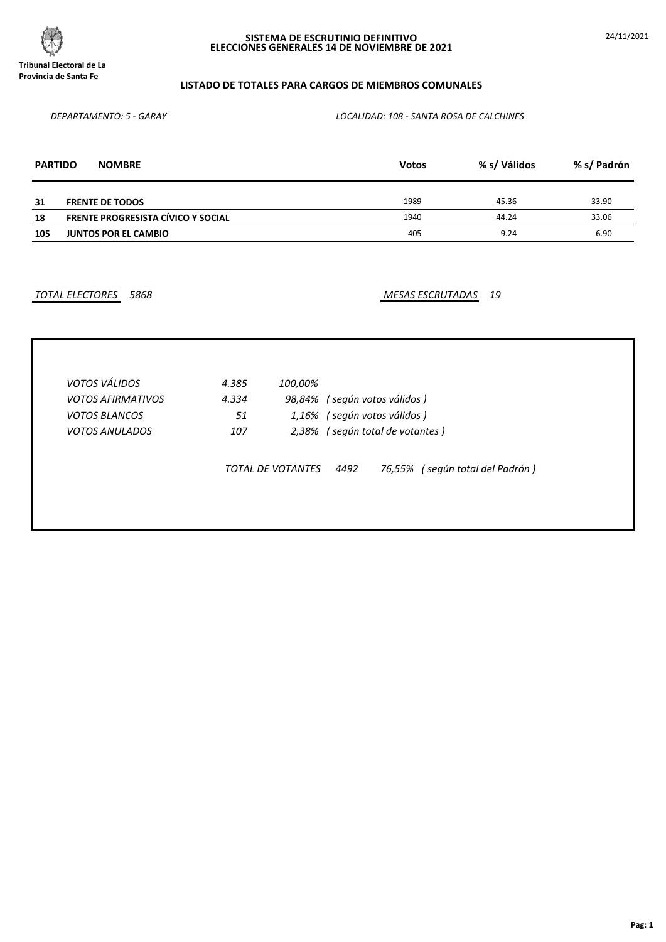

# **LISTADO DE TOTALES PARA CARGOS DE MIEMBROS COMUNALES**

*DEPARTAMENTO: 5 - GARAY LOCALIDAD: 108 - SANTA ROSA DE CALCHINES*

| <b>PARTIDO</b> | <b>NOMBRE</b>                             | <b>Votos</b> | % s/ Válidos | % s/ Padrón |
|----------------|-------------------------------------------|--------------|--------------|-------------|
| 31             | <b>FRENTE DE TODOS</b>                    | 1989         | 45.36        | 33.90       |
| 18             | <b>FRENTE PROGRESISTA CÍVICO Y SOCIAL</b> | 1940         | 44.24        | 33.06       |
| 105            | <b>JUNTOS POR EL CAMBIO</b>               | 405          | 9.24         | 6.90        |

*TOTAL ELECTORES 5868 MESAS ESCRUTADAS 19*

| <b>VOTOS VÁLIDOS</b>     | 4.385 | 100,00%           |                                         |
|--------------------------|-------|-------------------|-----------------------------------------|
| <b>VOTOS AFIRMATIVOS</b> | 4.334 | 98,84%            | (según votos válidos )                  |
| <b>VOTOS BLANCOS</b>     | 51    |                   | 1,16% (según votos válidos)             |
| <b>VOTOS ANULADOS</b>    | 107   |                   | 2,38% (según total de votantes)         |
|                          |       | TOTAL DE VOTANTES | 76,55% (según total del Padrón)<br>4492 |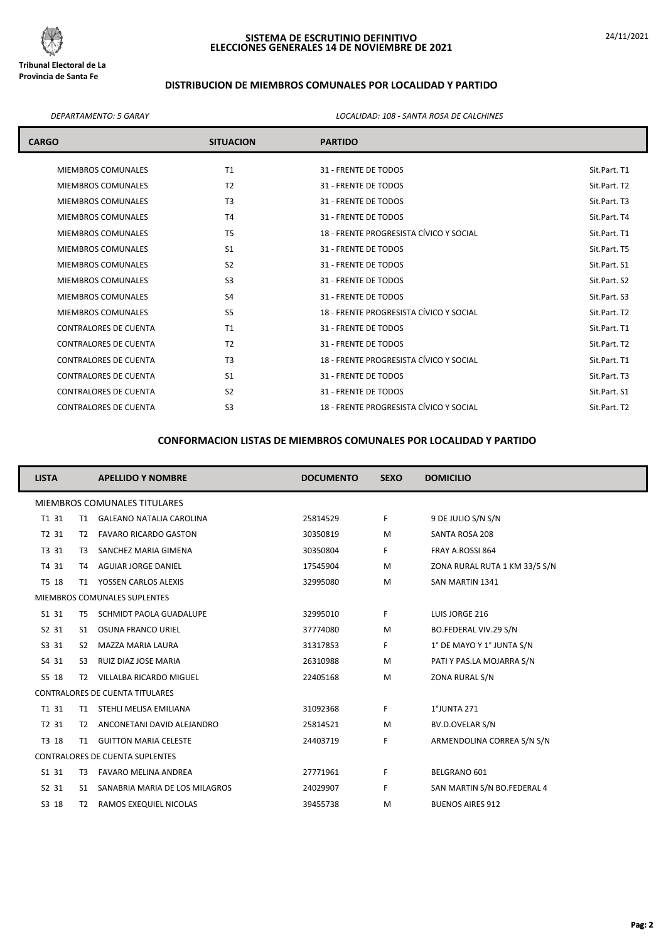

# **DISTRIBUCION DE MIEMBROS COMUNALES POR LOCALIDAD Y PARTIDO**

*DEPARTAMENTO: 5 GARAY LOCALIDAD: 108 - SANTA ROSA DE CALCHINES*

| <b>CARGO</b>                 | <b>SITUACION</b> | <b>PARTIDO</b>                          |              |
|------------------------------|------------------|-----------------------------------------|--------------|
| <b>MIEMBROS COMUNALES</b>    | T1               | 31 - FRENTE DE TODOS                    | Sit.Part. T1 |
| <b>MIEMBROS COMUNALES</b>    | T <sub>2</sub>   | 31 - FRENTE DE TODOS                    | Sit.Part. T2 |
| <b>MIEMBROS COMUNALES</b>    | T <sub>3</sub>   | 31 - FRENTE DE TODOS                    | Sit.Part. T3 |
| <b>MIEMBROS COMUNALES</b>    | T <sub>4</sub>   | 31 - FRENTE DE TODOS                    | Sit.Part. T4 |
| <b>MIEMBROS COMUNALES</b>    | T <sub>5</sub>   | 18 - FRENTE PROGRESISTA CÍVICO Y SOCIAL | Sit.Part. T1 |
| <b>MIEMBROS COMUNALES</b>    | S <sub>1</sub>   | 31 - FRENTE DE TODOS                    | Sit.Part. T5 |
| <b>MIEMBROS COMUNALES</b>    | S <sub>2</sub>   | 31 - FRENTE DE TODOS                    | Sit.Part. S1 |
| <b>MIEMBROS COMUNALES</b>    | S <sub>3</sub>   | 31 - FRENTE DE TODOS                    | Sit.Part. S2 |
| <b>MIEMBROS COMUNALES</b>    | S <sub>4</sub>   | 31 - FRENTE DE TODOS                    | Sit.Part. S3 |
| <b>MIEMBROS COMUNALES</b>    | S <sub>5</sub>   | 18 - FRENTE PROGRESISTA CÍVICO Y SOCIAL | Sit.Part. T2 |
| <b>CONTRALORES DE CUENTA</b> | T1               | 31 - FRENTE DE TODOS                    | Sit.Part. T1 |
| <b>CONTRALORES DE CUENTA</b> | T <sub>2</sub>   | 31 - FRENTE DE TODOS                    | Sit.Part. T2 |
| <b>CONTRALORES DE CUENTA</b> | T <sub>3</sub>   | 18 - FRENTE PROGRESISTA CÍVICO Y SOCIAL | Sit.Part. T1 |
| <b>CONTRALORES DE CUENTA</b> | S <sub>1</sub>   | 31 - FRENTE DE TODOS                    | Sit.Part. T3 |
| <b>CONTRALORES DE CUENTA</b> | S <sub>2</sub>   | 31 - FRENTE DE TODOS                    | Sit.Part. S1 |
| <b>CONTRALORES DE CUENTA</b> | S <sub>3</sub>   | 18 - FRENTE PROGRESISTA CÍVICO Y SOCIAL | Sit.Part. T2 |

| <b>LISTA</b>                           |                | <b>APELLIDO Y NOMBRE</b>        | <b>DOCUMENTO</b> | <b>SEXO</b> | <b>DOMICILIO</b>              |  |  |
|----------------------------------------|----------------|---------------------------------|------------------|-------------|-------------------------------|--|--|
| MIEMBROS COMUNALES TITULARES           |                |                                 |                  |             |                               |  |  |
| T1 31                                  | T1             | <b>GALEANO NATALIA CAROLINA</b> | 25814529         | F.          | 9 DE JULIO S/N S/N            |  |  |
| T2 31                                  | T2             | <b>FAVARO RICARDO GASTON</b>    | 30350819         | M           | SANTA ROSA 208                |  |  |
| T3 31                                  | T3             | SANCHEZ MARIA GIMENA            | 30350804         | F.          | FRAY A.ROSSI 864              |  |  |
| T4 31                                  | T4             | <b>AGUIAR JORGE DANIEL</b>      | 17545904         | M           | ZONA RURAL RUTA 1 KM 33/5 S/N |  |  |
| T5 18                                  | T1             | YOSSEN CARLOS ALEXIS            | 32995080         | M           | SAN MARTIN 1341               |  |  |
| MIEMBROS COMUNALES SUPLENTES           |                |                                 |                  |             |                               |  |  |
| S1 31                                  | T <sub>5</sub> | SCHMIDT PAOLA GUADALUPE         | 32995010         | F.          | LUIS JORGE 216                |  |  |
| S2 31                                  | S1             | OSUNA FRANCO URIEL              | 37774080         | M           | BO.FEDERAL VIV.29 S/N         |  |  |
| S3 31                                  | S <sub>2</sub> | MAZZA MARIA LAURA               | 31317853         | F.          | 1° DE MAYO Y 1° JUNTA S/N     |  |  |
| S4 31                                  | S3             | RUIZ DIAZ JOSE MARIA            | 26310988         | M           | PATI Y PAS.LA MOJARRA S/N     |  |  |
| S5 18                                  | T <sub>2</sub> | VILLALBA RICARDO MIGUEL         | 22405168         | M           | ZONA RURAL S/N                |  |  |
| <b>CONTRALORES DE CUENTA TITULARES</b> |                |                                 |                  |             |                               |  |  |
| T1 31                                  | T1             | STEHLI MELISA EMILIANA          | 31092368         | F.          | 1°JUNTA 271                   |  |  |
| T2 31                                  | T2             | ANCONETANI DAVID ALEJANDRO      | 25814521         | M           | BV.D.OVELAR S/N               |  |  |
| T3 18                                  | T1             | <b>GUITTON MARIA CELESTE</b>    | 24403719         | F           | ARMENDOLINA CORREA S/N S/N    |  |  |
| <b>CONTRALORES DE CUENTA SUPLENTES</b> |                |                                 |                  |             |                               |  |  |
| S1 31                                  | T3             | <b>FAVARO MELINA ANDREA</b>     | 27771961         | F.          | BELGRANO 601                  |  |  |
| S2 31                                  | S1             | SANABRIA MARIA DE LOS MILAGROS  | 24029907         | F.          | SAN MARTIN S/N BO.FEDERAL 4   |  |  |
| S3 18                                  | T2             | RAMOS EXEQUIEL NICOLAS          | 39455738         | M           | <b>BUENOS AIRES 912</b>       |  |  |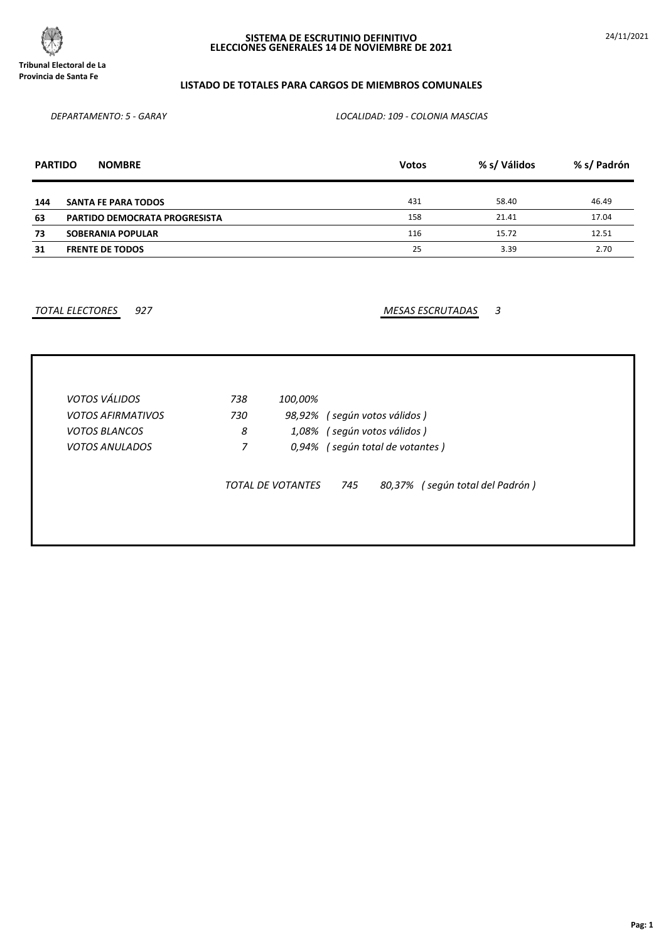

24/11/2021

# **LISTADO DE TOTALES PARA CARGOS DE MIEMBROS COMUNALES**

*DEPARTAMENTO: 5 - GARAY LOCALIDAD: 109 - COLONIA MASCIAS*

| <b>PARTIDO</b> | <b>NOMBRE</b>                        | <b>Votos</b> | % s/ Válidos | % s/ Padrón |
|----------------|--------------------------------------|--------------|--------------|-------------|
|                |                                      |              |              |             |
| 144            | <b>SANTA FE PARA TODOS</b>           | 431          | 58.40        | 46.49       |
| 63             | <b>PARTIDO DEMOCRATA PROGRESISTA</b> | 158          | 21.41        | 17.04       |
| 73             | <b>SOBERANIA POPULAR</b>             | 116          | 15.72        | 12.51       |
| 31             | <b>FRENTE DE TODOS</b>               | 25           | 3.39         | 2.70        |

*TOTAL ELECTORES 927 MESAS ESCRUTADAS 3*

| <b>VOTOS VÁLIDOS</b>     | 738 | 100,00%           |                       |                                    |
|--------------------------|-----|-------------------|-----------------------|------------------------------------|
| <b>VOTOS AFIRMATIVOS</b> | 730 | 98,92%            | (según votos válidos) |                                    |
| <b>VOTOS BLANCOS</b>     | 8   | 1,08%             | (según votos válidos) |                                    |
| <b>VOTOS ANULADOS</b>    | 7   | 0,94%             |                       | (según total de votantes)          |
|                          |     | TOTAL DE VOTANTES | 745                   | (según total del Padrón)<br>80,37% |
|                          |     |                   |                       |                                    |
|                          |     |                   |                       |                                    |